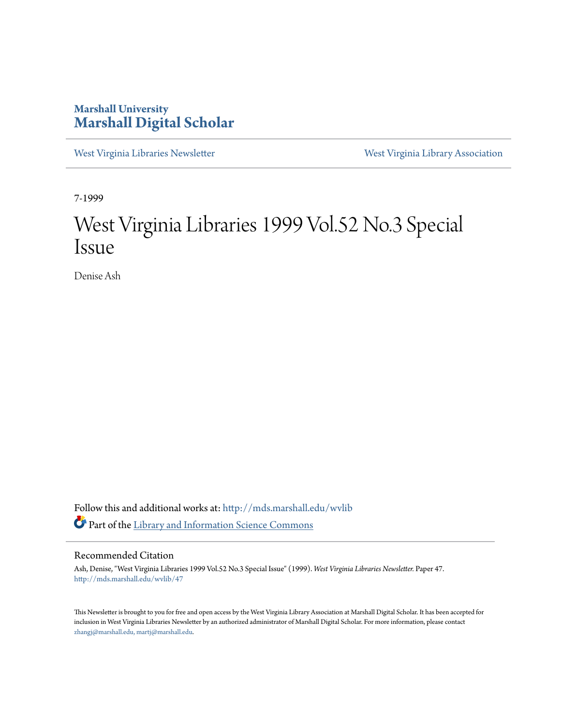### **Marshall University [Marshall Digital Scholar](http://mds.marshall.edu?utm_source=mds.marshall.edu%2Fwvlib%2F47&utm_medium=PDF&utm_campaign=PDFCoverPages)**

[West Virginia Libraries Newsletter](http://mds.marshall.edu/wvlib?utm_source=mds.marshall.edu%2Fwvlib%2F47&utm_medium=PDF&utm_campaign=PDFCoverPages) [West Virginia Library Association](http://mds.marshall.edu/wvla?utm_source=mds.marshall.edu%2Fwvlib%2F47&utm_medium=PDF&utm_campaign=PDFCoverPages)

7-1999

## West Virginia Libraries 1999 Vol.52 No.3 Special Issue

Denise Ash

Follow this and additional works at: [http://mds.marshall.edu/wvlib](http://mds.marshall.edu/wvlib?utm_source=mds.marshall.edu%2Fwvlib%2F47&utm_medium=PDF&utm_campaign=PDFCoverPages) Part of the [Library and Information Science Commons](http://network.bepress.com/hgg/discipline/1018?utm_source=mds.marshall.edu%2Fwvlib%2F47&utm_medium=PDF&utm_campaign=PDFCoverPages)

#### Recommended Citation

Ash, Denise, "West Virginia Libraries 1999 Vol.52 No.3 Special Issue" (1999). *West Virginia Libraries Newsletter.* Paper 47. [http://mds.marshall.edu/wvlib/47](http://mds.marshall.edu/wvlib/47?utm_source=mds.marshall.edu%2Fwvlib%2F47&utm_medium=PDF&utm_campaign=PDFCoverPages)

This Newsletter is brought to you for free and open access by the West Virginia Library Association at Marshall Digital Scholar. It has been accepted for inclusion in West Virginia Libraries Newsletter by an authorized administrator of Marshall Digital Scholar. For more information, please contact [zhangj@marshall.edu, martj@marshall.edu](mailto:zhangj@marshall.edu,%20martj@marshall.edu).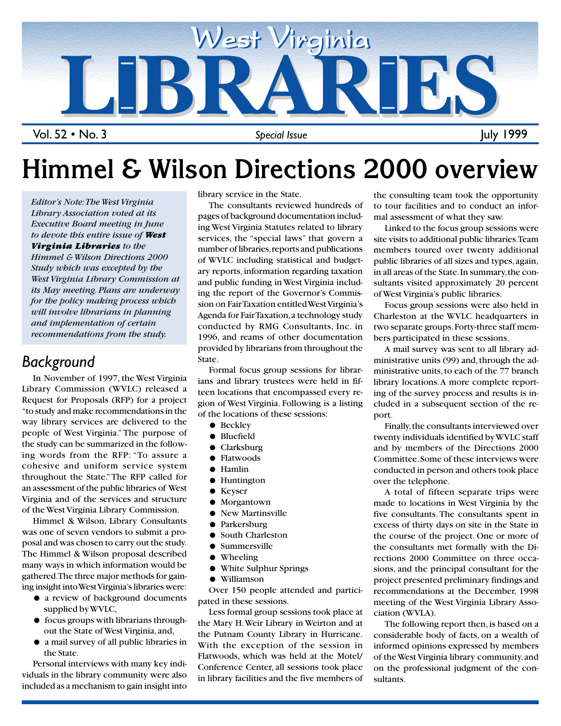

Vol. 52 • No. 3

# **Himmel & Wilson Directions 2000 overview**

*Editor's Note: The West Virginia Library Association voted at its Executive Board meeting in June to devote this entire issue of West Virginia Libraries to the Himmel & Wilson Directions 2000 Study which was excepted by the West Virginia Library Commission at its May meeting. Plans are underway for the policy making process which will involve librarians in planning and implementation of certain recommendations from the study.*

### *Background*

In November of 1997, the West Virginia Library Commission (WVLC) released a Request for Proposals (RFP) for a project "to study and make recommendations in the way library services are delivered to the people of West Virginia." The purpose of the study can be summarized in the following words from the RFP: "To assure a cohesive and uniform service system throughout the State." The RFP called for an assessment of the public libraries of West Virginia and of the services and structure of the West Virginia Library Commission.

Himmel & Wilson, Library Consultants was one of seven vendors to submit a proposal and was chosen to carry out the study. The Himmel & Wilson proposal described many ways in which information would be gathered. The three major methods for gaining insight into West Virginia's libraries were:

- a review of background documents supplied by WVLC,
- focus groups with librarians throughout the State of West Virginia, and,
- a mail survey of all public libraries in the State.

Personal interviews with many key individuals in the library community were also included as a mechanism to gain insight into

*SPECIAL ISSUE*

library service in the State.

The consultants reviewed hundreds of pages of background documentation including West Virginia Statutes related to library services, the "special laws" that govern a number of libraries, reports and publications of WVLC including statistical and budgetary reports, information regarding taxation and public funding in West Virginia including the report of the Governor's Commission on Fair Taxation entitled West Virginia's Agenda for Fair Taxation, a technology study conducted by RMG Consultants, Inc. in 1996, and reams of other documentation provided by librarians from throughout the State.

Formal focus group sessions for librarians and library trustees were held in fifteen locations that encompassed every region of West Virginia. Following is a listing of the locations of these sessions:

- Beckley
- Bluefield
- Clarksburg
- Flatwoods
- Hamlin
- Huntington
- Keyser
- Morgantown
- New Martinsville
- Parkersburg
- South Charleston
- Summersville
- Wheeling
- White Sulphur Springs
- Williamson

Over 150 people attended and participated in these sessions.

Less formal group sessions took place at the Mary H. Weir Library in Weirton and at the Putnam County Library in Hurricane. With the exception of the session in Flatwoods, which was held at the Motel/ Conference Center, all sessions took place in library facilities and the five members of

the consulting team took the opportunity to tour facilities and to conduct an informal assessment of what they saw.

Linked to the focus group sessions were site visits to additional public libraries. Team members toured over twenty additional public libraries of all sizes and types, again, in all areas of the State. In summary, the consultants visited approximately 20 percent of West Virginia's public libraries.

Focus group sessions were also held in Charleston at the WVLC headquarters in two separate groups. Forty-three staff members participated in these sessions.

A mail survey was sent to all library administrative units (99) and, through the administrative units, to each of the 77 branch library locations. A more complete reporting of the survey process and results is included in a subsequent section of the report.

Finally, the consultants interviewed over twenty individuals identified by WVLC staff and by members of the Directions 2000 Committee. Some of these interviews were conducted in person and others took place over the telephone.

A total of fifteen separate trips were made to locations in West Virginia by the five consultants. The consultants spent in excess of thirty days on site in the State in the course of the project. One or more of the consultants met formally with the Directions 2000 Committee on three occasions, and the principal consultant for the project presented preliminary findings and recommendations at the December, 1998 meeting of the West Virginia Library Association (WVLA).

The following report then, is based on a considerable body of facts, on a wealth of informed opinions expressed by members of the West Virginia library community, and on the professional judgment of the consultants.

1 July 1999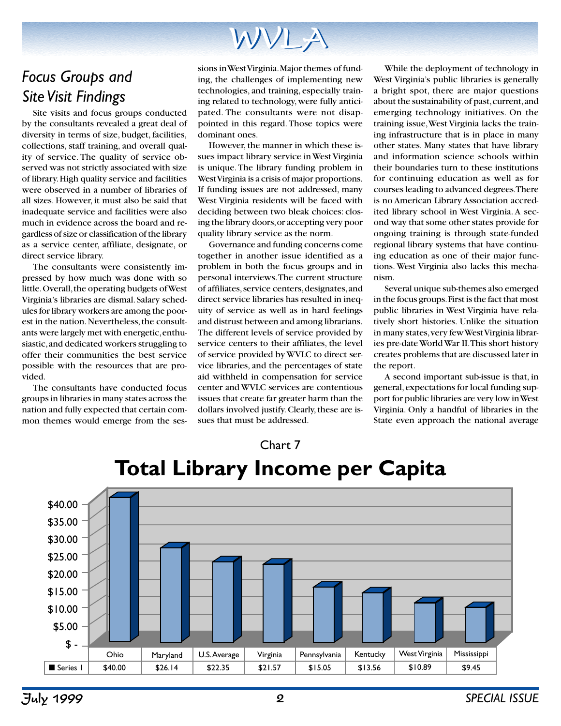## *Focus Groups and Site Visit Findings*

Site visits and focus groups conducted by the consultants revealed a great deal of diversity in terms of size, budget, facilities, collections, staff training, and overall quality of service. The quality of service observed was not strictly associated with size of library. High quality service and facilities were observed in a number of libraries of all sizes. However, it must also be said that inadequate service and facilities were also much in evidence across the board and regardless of size or classification of the library as a service center, affiliate, designate, or direct service library.

The consultants were consistently impressed by how much was done with so little. Overall, the operating budgets of West Virginia's libraries are dismal. Salary schedules for library workers are among the poorest in the nation. Nevertheless, the consultants were largely met with energetic, enthusiastic, and dedicated workers struggling to offer their communities the best service possible with the resources that are provided.

The consultants have conducted focus groups in libraries in many states across the nation and fully expected that certain common themes would emerge from the sessions in West Virginia. Major themes of funding, the challenges of implementing new technologies, and training, especially training related to technology, were fully anticipated. The consultants were not disappointed in this regard. Those topics were dominant ones.

However, the manner in which these issues impact library service in West Virginia is unique. The library funding problem in West Virginia is a crisis of major proportions. If funding issues are not addressed, many West Virginia residents will be faced with deciding between two bleak choices: closing the library doors, or accepting very poor quality library service as the norm.

Governance and funding concerns come together in another issue identified as a problem in both the focus groups and in personal interviews. The current structure of affiliates, service centers, designates, and direct service libraries has resulted in inequity of service as well as in hard feelings and distrust between and among librarians. The different levels of service provided by service centers to their affiliates, the level of service provided by WVLC to direct service libraries, and the percentages of state aid withheld in compensation for service center and WVLC services are contentious issues that create far greater harm than the dollars involved justify. Clearly, these are issues that must be addressed.

While the deployment of technology in West Virginia's public libraries is generally a bright spot, there are major questions about the sustainability of past, current, and emerging technology initiatives. On the training issue, West Virginia lacks the training infrastructure that is in place in many other states. Many states that have library and information science schools within their boundaries turn to these institutions for continuing education as well as for courses leading to advanced degrees. There is no American Library Association accredited library school in West Virginia. A second way that some other states provide for ongoing training is through state-funded regional library systems that have continuing education as one of their major functions. West Virginia also lacks this mechanism.

Several unique sub-themes also emerged in the focus groups. First is the fact that most public libraries in West Virginia have relatively short histories. Unlike the situation in many states, very few West Virginia libraries pre-date World War II. This short history creates problems that are discussed later in the report.

A second important sub-issue is that, in general, expectations for local funding support for public libraries are very low in West Virginia. Only a handful of libraries in the State even approach the national average



# **Total Library Income per Capita**

Chart 7

July 1999 2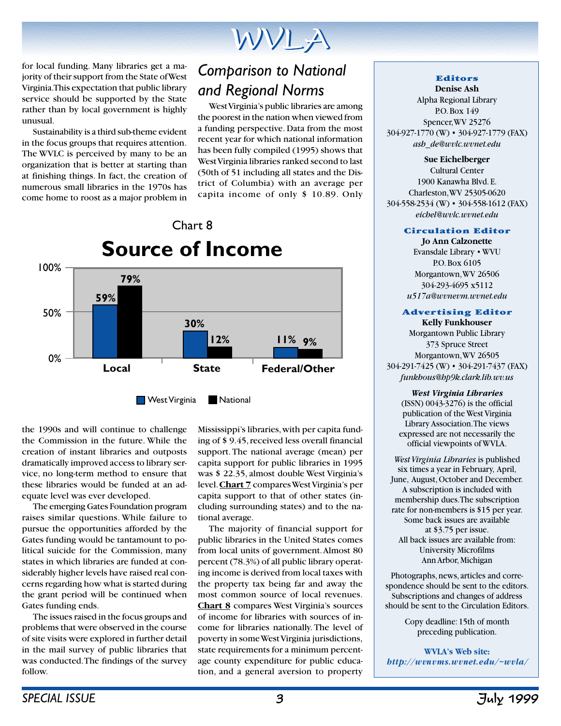for local funding. Many libraries get a majority of their support from the State of West Virginia. This expectation that public library service should be supported by the State rather than by local government is highly unusual.

Sustainability is a third sub-theme evident in the focus groups that requires attention. The WVLC is perceived by many to be an organization that is better at starting than at finishing things. In fact, the creation of numerous small libraries in the 1970s has come home to roost as a major problem in

## *Comparison to National and Regional Norms*

West Virginia's public libraries are among the poorest in the nation when viewed from a funding perspective. Data from the most recent year for which national information has been fully compiled (1995) shows that West Virginia libraries ranked second to last (50th of 51 including all states and the District of Columbia) with an average per capita income of only \$ 10.89. Only



the 1990s and will continue to challenge the Commission in the future. While the creation of instant libraries and outposts dramatically improved access to library service, no long-term method to ensure that these libraries would be funded at an adequate level was ever developed.

The emerging Gates Foundation program raises similar questions. While failure to pursue the opportunities afforded by the Gates funding would be tantamount to political suicide for the Commission, many states in which libraries are funded at considerably higher levels have raised real concerns regarding how what is started during the grant period will be continued when Gates funding ends.

The issues raised in the focus groups and problems that were observed in the course of site visits were explored in further detail in the mail survey of public libraries that was conducted. The findings of the survey follow.

Mississippi's libraries, with per capita funding of \$ 9.45, received less overall financial support. The national average (mean) per capita support for public libraries in 1995 was \$ 22.35, almost double West Virginia's level. **Chart 7** compares West Virginia's per capita support to that of other states (including surrounding states) and to the national average.

The majority of financial support for public libraries in the United States comes from local units of government. Almost 80 percent (78.3%) of all public library operating income is derived from local taxes with the property tax being far and away the most common source of local revenues. **Chart 8** compares West Virginia's sources of income for libraries with sources of income for libraries nationally. The level of poverty in some West Virginia jurisdictions, state requirements for a minimum percentage county expenditure for public education, and a general aversion to property

#### **Editors**

**Denise Ash** Alpha Regional Library P.O. Box 149 Spencer, WV 25276 304-927-1770 (W) • 304-927-1779 (FAX) *ash de@wvlc.wvnet.edu*

**Sue Eichelberger** Cultural Center 1900 Kanawha Blvd. E. Charleston, WV 25305-0620 304-558-2534 (W) • 304-558-1612 (FAX) *eichel@wvlc.wvnet.edu*

#### **Circulation Editor**

**Jo Ann Calzonette** Evansdale Library • WVU P.O. Box 6105 Morgantown, WV 26506 304-293-4695 x5112 *u517a@wvnevm.wvnet.edu*

#### **Advertising Editor**

**Kelly Funkhouser** Morgantown Public Library 373 Spruce Street Morgantown, WV 26505 304-291-7425 (W) • 304-291-7437 (FAX) *funkhous@hp9k.clark.lib.wv.us*

*West Virginia Libraries* (ISSN) 0043-3276) is the official publication of the West Virginia Library Association. The views expressed are not necessarily the official viewpoints of WVLA.

*West Virginia Libraries* is published six times a year in February, April, June, August, October and December. A subscription is included with membership dues. The subscription rate for non-members is \$15 per year. Some back issues are available at \$3.75 per issue. All back issues are available from: University Microfilms Ann Arbor, Michigan

Photographs, news, articles and correspondence should be sent to the editors. Subscriptions and changes of address should be sent to the Circulation Editors.

> Copy deadline: 15th of month preceding publication.

**WVLA's Web site:** *http://wvnvms.wvnet.edu/~wvla/*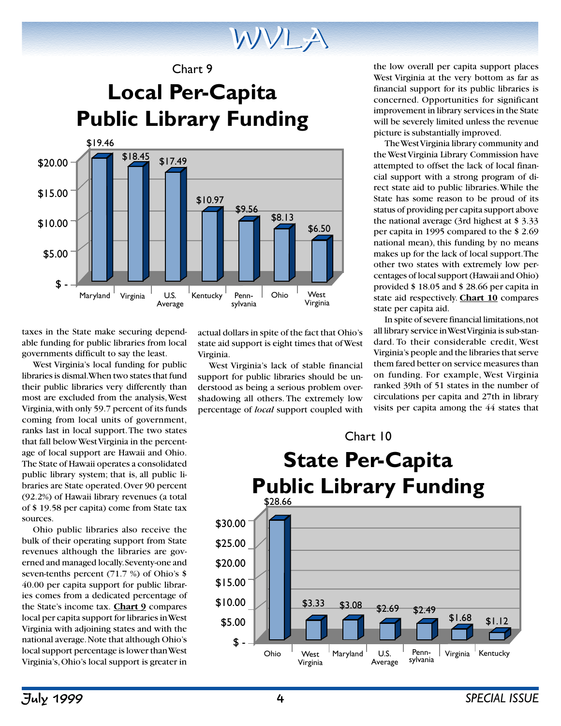Chart 9

## **Local Per-Capita Public Library Funding**



taxes in the State make securing dependable funding for public libraries from local governments difficult to say the least.

West Virginia's local funding for public libraries is dismal. When two states that fund their public libraries very differently than most are excluded from the analysis, West Virginia, with only 59.7 percent of its funds coming from local units of government, ranks last in local support. The two states that fall below West Virginia in the percentage of local support are Hawaii and Ohio. The State of Hawaii operates a consolidated public library system; that is, all public libraries are State operated. Over 90 percent (92.2%) of Hawaii library revenues (a total of \$ 19.58 per capita) come from State tax sources.

Ohio public libraries also receive the bulk of their operating support from State revenues although the libraries are governed and managed locally. Seventy-one and seven-tenths percent (71.7 %) of Ohio's \$ 40.00 per capita support for public libraries comes from a dedicated percentage of the State's income tax. **Chart 9** compares local per capita support for libraries in West Virginia with adjoining states and with the national average. Note that although Ohio's local support percentage is lower than West Virginia's, Ohio's local support is greater in

actual dollars in spite of the fact that Ohio's state aid support is eight times that of West Virginia.

West Virginia's lack of stable financial support for public libraries should be understood as being a serious problem overshadowing all others. The extremely low percentage of *local* support coupled with

the low overall per capita support places West Virginia at the very bottom as far as financial support for its public libraries is concerned. Opportunities for significant improvement in library services in the State will be severely limited unless the revenue picture is substantially improved.

The West Virginia library community and the West Virginia Library Commission have attempted to offset the lack of local financial support with a strong program of direct state aid to public libraries. While the State has some reason to be proud of its status of providing per capita support above the national average (3rd highest at \$ 3.33 per capita in 1995 compared to the \$ 2.69 national mean), this funding by no means makes up for the lack of local support. The other two states with extremely low percentages of local support (Hawaii and Ohio) provided \$ 18.05 and \$ 28.66 per capita in state aid respectively. **Chart 10** compares state per capita aid.

In spite of severe financial limitations, not all library service in West Virginia is sub-standard. To their considerable credit, West Virginia's people and the libraries that serve them fared better on service measures than on funding. For example, West Virginia ranked 39th of 51 states in the number of circulations per capita and 27th in library visits per capita among the 44 states that

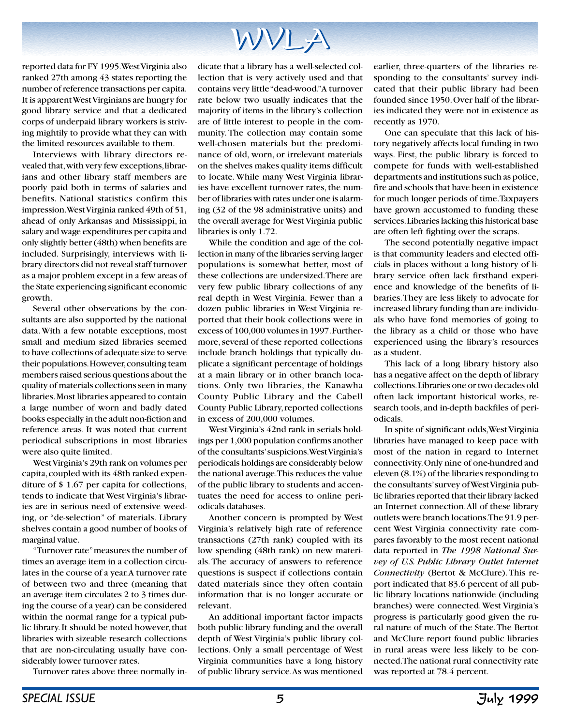reported data for FY 1995. West Virginia also ranked 27th among 43 states reporting the number of reference transactions per capita. It is apparent West Virginians are hungry for good library service and that a dedicated corps of underpaid library workers is striving mightily to provide what they can with the limited resources available to them.

Interviews with library directors revealed that, with very few exceptions, librarians and other library staff members are poorly paid both in terms of salaries and benefits. National statistics confirm this impression. West Virginia ranked 49th of 51, ahead of only Arkansas and Mississippi, in salary and wage expenditures per capita and only slightly better (48th) when benefits are included. Surprisingly, interviews with library directors did not reveal staff turnover as a major problem except in a few areas of the State experiencing significant economic growth.

Several other observations by the consultants are also supported by the national data. With a few notable exceptions, most small and medium sized libraries seemed to have collections of adequate size to serve their populations. However, consulting team members raised serious questions about the quality of materials collections seen in many libraries. Most libraries appeared to contain a large number of worn and badly dated books especially in the adult non-fiction and reference areas. It was noted that current periodical subscriptions in most libraries were also quite limited.

West Virginia's 29th rank on volumes per capita, coupled with its 48th ranked expenditure of \$ 1.67 per capita for collections, tends to indicate that West Virginia's libraries are in serious need of extensive weeding, or "de-selection" of materials. Library shelves contain a good number of books of marginal value.

"Turnover rate" measures the number of times an average item in a collection circulates in the course of a year. A turnover rate of between two and three (meaning that an average item circulates 2 to 3 times during the course of a year) can be considered within the normal range for a typical public library. It should be noted however, that libraries with sizeable research collections that are non-circulating usually have considerably lower turnover rates.

Turnover rates above three normally in-

dicate that a library has a well-selected collection that is very actively used and that contains very little "dead-wood." A turnover rate below two usually indicates that the majority of items in the library's collection are of little interest to people in the community. The collection may contain some well-chosen materials but the predominance of old, worn, or irrelevant materials on the shelves makes quality items difficult to locate. While many West Virginia libraries have excellent turnover rates, the number of libraries with rates under one is alarming (32 of the 98 administrative units) and the overall average for West Virginia public libraries is only 1.72.

While the condition and age of the collection in many of the libraries serving larger populations is somewhat better, most of these collections are undersized. There are very few public library collections of any real depth in West Virginia. Fewer than a dozen public libraries in West Virginia reported that their book collections were in excess of 100,000 volumes in 1997. Furthermore, several of these reported collections include branch holdings that typically duplicate a significant percentage of holdings at a main library or in other branch locations. Only two libraries, the Kanawha County Public Library and the Cabell County Public Library, reported collections in excess of 200,000 volumes.

West Virginia's 42nd rank in serials holdings per 1,000 population confirms another of the consultants' suspicions. West Virginia's periodicals holdings are considerably below the national average. This reduces the value of the public library to students and accentuates the need for access to online periodicals databases.

Another concern is prompted by West Virginia's relatively high rate of reference transactions (27th rank) coupled with its low spending (48th rank) on new materials. The accuracy of answers to reference questions is suspect if collections contain dated materials since they often contain information that is no longer accurate or relevant.

An additional important factor impacts both public library funding and the overall depth of West Virginia's public library collections. Only a small percentage of West Virginia communities have a long history of public library service. As was mentioned

earlier, three-quarters of the libraries responding to the consultants' survey indicated that their public library had been founded since 1950. Over half of the libraries indicated they were not in existence as recently as 1970.

One can speculate that this lack of history negatively affects local funding in two ways. First, the public library is forced to compete for funds with well-established departments and institutions such as police, fire and schools that have been in existence for much longer periods of time. Taxpayers have grown accustomed to funding these services. Libraries lacking this historical base are often left fighting over the scraps.

The second potentially negative impact is that community leaders and elected officials in places without a long history of library service often lack firsthand experience and knowledge of the benefits of libraries. They are less likely to advocate for increased library funding than are individuals who have fond memories of going to the library as a child or those who have experienced using the library's resources as a student.

This lack of a long library history also has a negative affect on the depth of library collections. Libraries one or two decades old often lack important historical works, research tools, and in-depth backfiles of periodicals.

In spite of significant odds, West Virginia libraries have managed to keep pace with most of the nation in regard to Internet connectivity. Only nine of one-hundred and eleven (8.1%) of the libraries responding to the consultants' survey of West Virginia public libraries reported that their library lacked an Internet connection. All of these library outlets were branch locations. The 91.9 percent West Virginia connectivity rate compares favorably to the most recent national data reported in *The 1998 National Survey of U.S. Public Library Outlet Internet Connectivity* (Bertot & McClure). This report indicated that 83.6 percent of all public library locations nationwide (including branches) were connected. West Virginia's progress is particularly good given the rural nature of much of the State. The Bertot and McClure report found public libraries in rural areas were less likely to be connected. The national rural connectivity rate was reported at 78.4 percent.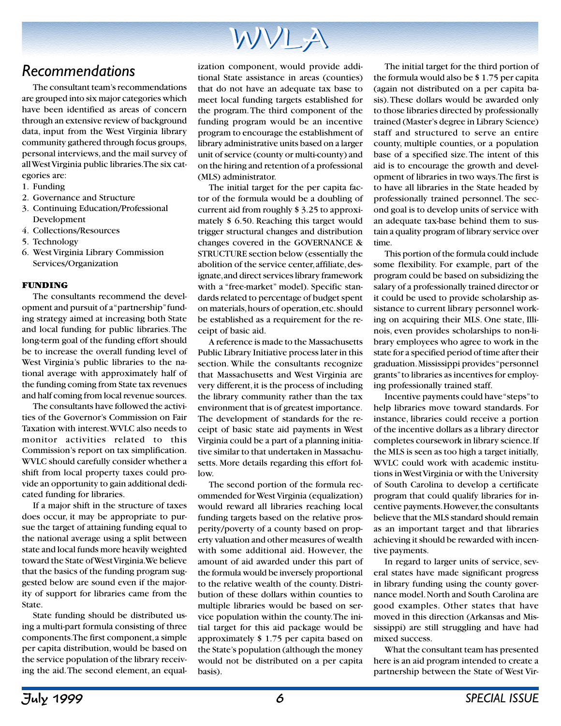### *Recommendations*

The consultant team's recommendations are grouped into six major categories which have been identified as areas of concern through an extensive review of background data, input from the West Virginia library community gathered through focus groups, personal interviews, and the mail survey of all West Virginia public libraries. The six categories are:

- 1. Funding
- 2. Governance and Structure
- 3. Continuing Education/Professional Development
- 4. Collections/Resources
- 5. Technology
- 6. West Virginia Library Commission Services/Organization

#### **FUNDING**

The consultants recommend the development and pursuit of a "partnership" funding strategy aimed at increasing both State and local funding for public libraries. The long-term goal of the funding effort should be to increase the overall funding level of West Virginia's public libraries to the national average with approximately half of the funding coming from State tax revenues and half coming from local revenue sources.

The consultants have followed the activities of the Governor's Commission on Fair Taxation with interest. WVLC also needs to monitor activities related to this Commission's report on tax simplification. WVLC should carefully consider whether a shift from local property taxes could provide an opportunity to gain additional dedicated funding for libraries.

If a major shift in the structure of taxes does occur, it may be appropriate to pursue the target of attaining funding equal to the national average using a split between state and local funds more heavily weighted toward the State of West Virginia. We believe that the basics of the funding program suggested below are sound even if the majority of support for libraries came from the State.

State funding should be distributed using a multi-part formula consisting of three components. The first component, a simple per capita distribution, would be based on the service population of the library receiving the aid. The second element, an equal-

ization component, would provide additional State assistance in areas (counties) that do not have an adequate tax base to meet local funding targets established for the program. The third component of the funding program would be an incentive program to encourage the establishment of library administrative units based on a larger unit of service (county or multi-county) and on the hiring and retention of a professional (MLS) administrator.

The initial target for the per capita factor of the formula would be a doubling of current aid from roughly \$ 3.25 to approximately \$ 6.50. Reaching this target would trigger structural changes and distribution changes covered in the GOVERNANCE & STRUCTURE section below (essentially the abolition of the service center, affiliate, designate, and direct services library framework with a "free-market" model). Specific standards related to percentage of budget spent on materials, hours of operation, etc. should be established as a requirement for the receipt of basic aid.

A reference is made to the Massachusetts Public Library Initiative process later in this section. While the consultants recognize that Massachusetts and West Virginia are very different, it is the process of including the library community rather than the tax environment that is of greatest importance. The development of standards for the receipt of basic state aid payments in West Virginia could be a part of a planning initiative similar to that undertaken in Massachusetts. More details regarding this effort follow.

The second portion of the formula recommended for West Virginia (equalization) would reward all libraries reaching local funding targets based on the relative prosperity/poverty of a county based on property valuation and other measures of wealth with some additional aid. However, the amount of aid awarded under this part of the formula would be inversely proportional to the relative wealth of the county. Distribution of these dollars within counties to multiple libraries would be based on service population within the county. The initial target for this aid package would be approximately \$ 1.75 per capita based on the State's population (although the money would not be distributed on a per capita basis).

The initial target for the third portion of the formula would also be \$ 1.75 per capita (again not distributed on a per capita basis). These dollars would be awarded only to those libraries directed by professionally trained (Master's degree in Library Science) staff and structured to serve an entire county, multiple counties, or a population base of a specified size. The intent of this aid is to encourage the growth and development of libraries in two ways. The first is to have all libraries in the State headed by professionally trained personnel. The second goal is to develop units of service with an adequate tax-base behind them to sustain a quality program of library service over time.

This portion of the formula could include some flexibility. For example, part of the program could be based on subsidizing the salary of a professionally trained director or it could be used to provide scholarship assistance to current library personnel working on acquiring their MLS. One state, Illinois, even provides scholarships to non-library employees who agree to work in the state for a specified period of time after their graduation. Mississippi provides "personnel grants" to libraries as incentives for employing professionally trained staff.

Incentive payments could have "steps" to help libraries move toward standards. For instance, libraries could receive a portion of the incentive dollars as a library director completes coursework in library science. If the MLS is seen as too high a target initially, WVLC could work with academic institutions in West Virginia or with the University of South Carolina to develop a certificate program that could qualify libraries for incentive payments. However, the consultants believe that the MLS standard should remain as an important target and that libraries achieving it should be rewarded with incentive payments.

In regard to larger units of service, several states have made significant progress in library funding using the county governance model. North and South Carolina are good examples. Other states that have moved in this direction (Arkansas and Mississippi) are still struggling and have had mixed success.

What the consultant team has presented here is an aid program intended to create a partnership between the State of West Vir-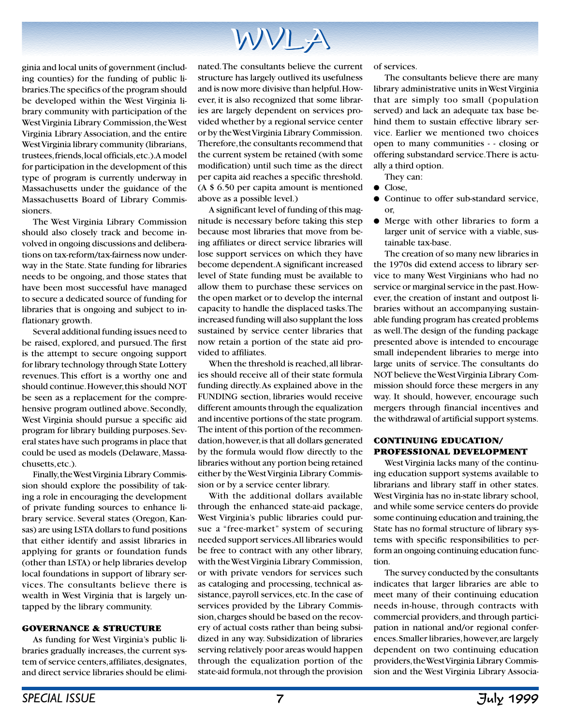

ginia and local units of government (including counties) for the funding of public libraries. The specifics of the program should be developed within the West Virginia library community with participation of the West Virginia Library Commission, the West Virginia Library Association, and the entire West Virginia library community (librarians, trustees, friends, local officials, etc.). A model for participation in the development of this type of program is currently underway in Massachusetts under the guidance of the Massachusetts Board of Library Commissioners.

The West Virginia Library Commission should also closely track and become involved in ongoing discussions and deliberations on tax-reform/tax-fairness now underway in the State. State funding for libraries needs to be ongoing, and those states that have been most successful have managed to secure a dedicated source of funding for libraries that is ongoing and subject to inflationary growth.

Several additional funding issues need to be raised, explored, and pursued. The first is the attempt to secure ongoing support for library technology through State Lottery revenues. This effort is a worthy one and should continue. However, this should NOT be seen as a replacement for the comprehensive program outlined above. Secondly, West Virginia should pursue a specific aid program for library building purposes. Several states have such programs in place that could be used as models (Delaware, Massachusetts, etc.).

Finally, the West Virginia Library Commission should explore the possibility of taking a role in encouraging the development of private funding sources to enhance library service. Several states (Oregon, Kansas) are using LSTA dollars to fund positions that either identify and assist libraries in applying for grants or foundation funds (other than LSTA) or help libraries develop local foundations in support of library services. The consultants believe there is wealth in West Virginia that is largely untapped by the library community.

#### **GOVERNANCE & STRUCTURE**

As funding for West Virginia's public libraries gradually increases, the current system of service centers, affiliates, designates, and direct service libraries should be elimi-

nated. The consultants believe the current structure has largely outlived its usefulness and is now more divisive than helpful. However, it is also recognized that some libraries are largely dependent on services provided whether by a regional service center or by the West Virginia Library Commission. Therefore, the consultants recommend that the current system be retained (with some modification) until such time as the direct per capita aid reaches a specific threshold. (A \$ 6.50 per capita amount is mentioned above as a possible level.)

A significant level of funding of this magnitude is necessary before taking this step because most libraries that move from being affiliates or direct service libraries will lose support services on which they have become dependent. A significant increased level of State funding must be available to allow them to purchase these services on the open market or to develop the internal capacity to handle the displaced tasks. The increased funding will also supplant the loss sustained by service center libraries that now retain a portion of the state aid provided to affiliates.

When the threshold is reached, all libraries should receive all of their state formula funding directly. As explained above in the FUNDING section, libraries would receive different amounts through the equalization and incentive portions of the state program. The intent of this portion of the recommendation, however, is that all dollars generated by the formula would flow directly to the libraries without any portion being retained either by the West Virginia Library Commission or by a service center library.

With the additional dollars available through the enhanced state-aid package, West Virginia's public libraries could pursue a "free-market" system of securing needed support services. All libraries would be free to contract with any other library, with the West Virginia Library Commission, or with private vendors for services such as cataloging and processing, technical assistance, payroll services, etc. In the case of services provided by the Library Commission, charges should be based on the recovery of actual costs rather than being subsidized in any way. Subsidization of libraries serving relatively poor areas would happen through the equalization portion of the state-aid formula, not through the provision

of services.

The consultants believe there are many library administrative units in West Virginia that are simply too small (population served) and lack an adequate tax base behind them to sustain effective library service. Earlier we mentioned two choices open to many communities - - closing or offering substandard service. There is actually a third option.

They can:

- Close,
- Continue to offer sub-standard service, or,
- Merge with other libraries to form a larger unit of service with a viable, sustainable tax-base.

The creation of so many new libraries in the 1970s did extend access to library service to many West Virginians who had no service or marginal service in the past. However, the creation of instant and outpost libraries without an accompanying sustainable funding program has created problems as well. The design of the funding package presented above is intended to encourage small independent libraries to merge into large units of service. The consultants do NOT believe the West Virginia Library Commission should force these mergers in any way. It should, however, encourage such mergers through financial incentives and the withdrawal of artificial support systems.

#### **CONTINUING EDUCATION/ PROFESSIONAL DEVELOPMENT**

West Virginia lacks many of the continuing education support systems available to librarians and library staff in other states. West Virginia has no in-state library school, and while some service centers do provide some continuing education and training, the State has no formal structure of library systems with specific responsibilities to perform an ongoing continuing education function.

The survey conducted by the consultants indicates that larger libraries are able to meet many of their continuing education needs in-house, through contracts with commercial providers, and through participation in national and/or regional conferences. Smaller libraries, however, are largely dependent on two continuing education providers, the West Virginia Library Commission and the West Virginia Library Associa-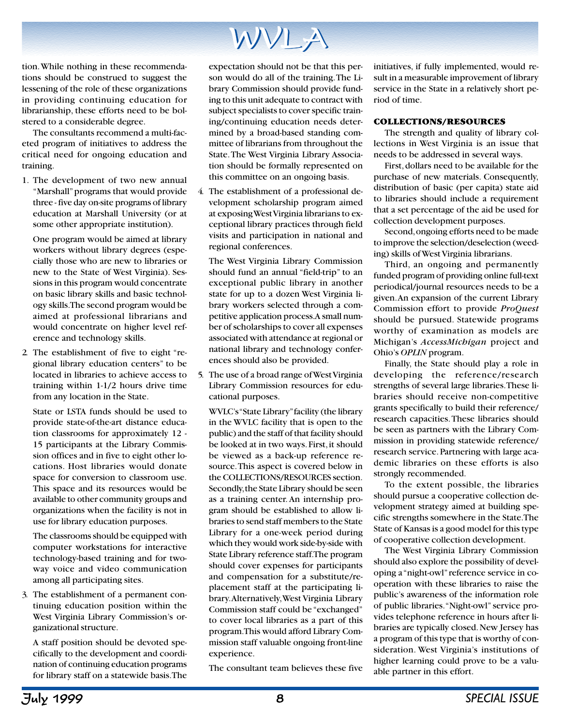

tion. While nothing in these recommendations should be construed to suggest the lessening of the role of these organizations in providing continuing education for librarianship, these efforts need to be bolstered to a considerable degree.

The consultants recommend a multi-faceted program of initiatives to address the critical need for ongoing education and training.

1. The development of two new annual "Marshall" programs that would provide three - five day on-site programs of library education at Marshall University (or at some other appropriate institution).

One program would be aimed at library workers without library degrees (especially those who are new to libraries or new to the State of West Virginia). Sessions in this program would concentrate on basic library skills and basic technology skills. The second program would be aimed at professional librarians and would concentrate on higher level reference and technology skills.

2. The establishment of five to eight "regional library education centers" to be located in libraries to achieve access to training within 1-1/2 hours drive time from any location in the State.

State or LSTA funds should be used to provide state-of-the-art distance education classrooms for approximately 12 - 15 participants at the Library Commission offices and in five to eight other locations. Host libraries would donate space for conversion to classroom use. This space and its resources would be available to other community groups and organizations when the facility is not in use for library education purposes.

The classrooms should be equipped with computer workstations for interactive technology-based training and for twoway voice and video communication among all participating sites.

3. The establishment of a permanent continuing education position within the West Virginia Library Commission's organizational structure.

A staff position should be devoted specifically to the development and coordination of continuing education programs for library staff on a statewide basis. The

expectation should not be that this person would do all of the training. The Library Commission should provide funding to this unit adequate to contract with subject specialists to cover specific training/continuing education needs determined by a broad-based standing committee of librarians from throughout the State. The West Virginia Library Association should be formally represented on this committee on an ongoing basis.

4. The establishment of a professional development scholarship program aimed at exposing West Virginia librarians to exceptional library practices through field visits and participation in national and regional conferences.

The West Virginia Library Commission should fund an annual "field-trip" to an exceptional public library in another state for up to a dozen West Virginia library workers selected through a competitive application process. A small number of scholarships to cover all expenses associated with attendance at regional or national library and technology conferences should also be provided.

5. The use of a broad range of West Virginia Library Commission resources for educational purposes.

WVLC's "State Library" facility (the library in the WVLC facility that is open to the public) and the staff of that facility should be looked at in two ways. First, it should be viewed as a back-up reference resource. This aspect is covered below in the COLLECTIONS/RESOURCES section. Secondly, the State Library should be seen as a training center. An internship program should be established to allow libraries to send staff members to the State Library for a one-week period during which they would work side-by-side with State Library reference staff. The program should cover expenses for participants and compensation for a substitute/replacement staff at the participating library. Alternatively, West Virginia Library Commission staff could be "exchanged" to cover local libraries as a part of this program. This would afford Library Commission staff valuable ongoing front-line experience.

The consultant team believes these five

initiatives, if fully implemented, would result in a measurable improvement of library service in the State in a relatively short period of time.

#### **COLLECTIONS/RESOURCES**

The strength and quality of library collections in West Virginia is an issue that needs to be addressed in several ways.

First, dollars need to be available for the purchase of new materials. Consequently, distribution of basic (per capita) state aid to libraries should include a requirement that a set percentage of the aid be used for collection development purposes.

Second, ongoing efforts need to be made to improve the selection/deselection (weeding) skills of West Virginia librarians.

Third, an ongoing and permanently funded program of providing online full-text periodical/journal resources needs to be a given. An expansion of the current Library Commission effort to provide *ProQuest* should be pursued. Statewide programs worthy of examination as models are Michigan's *AccessMichigan* project and Ohio's *OPLIN* program.

Finally, the State should play a role in developing the reference/research strengths of several large libraries. These libraries should receive non-competitive grants specifically to build their reference/ research capacities. These libraries should be seen as partners with the Library Commission in providing statewide reference/ research service. Partnering with large academic libraries on these efforts is also strongly recommended.

To the extent possible, the libraries should pursue a cooperative collection development strategy aimed at building specific strengths somewhere in the State. The State of Kansas is a good model for this type of cooperative collection development.

The West Virginia Library Commission should also explore the possibility of developing a "night-owl" reference service in cooperation with these libraries to raise the public's awareness of the information role of public libraries. "Night-owl" service provides telephone reference in hours after libraries are typically closed. New Jersey has a program of this type that is worthy of consideration. West Virginia's institutions of higher learning could prove to be a valuable partner in this effort.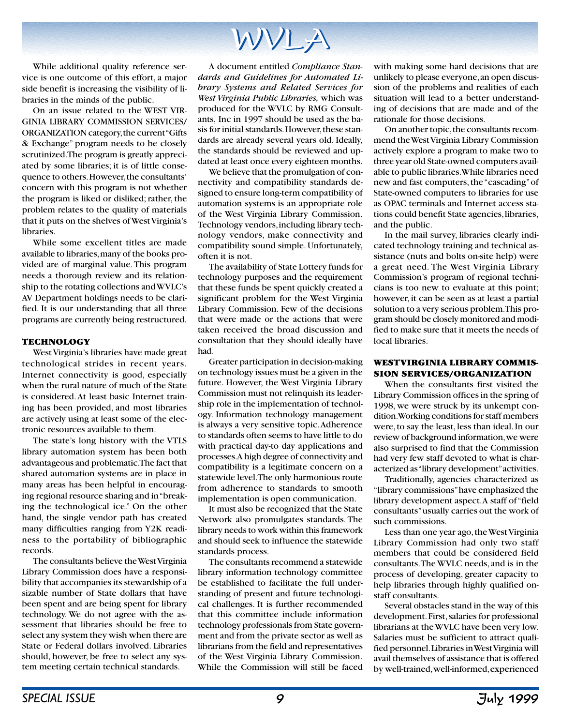While additional quality reference service is one outcome of this effort, a major side benefit is increasing the visibility of libraries in the minds of the public.

On an issue related to the WEST VIR-GINIA LIBRARY COMMISSION SERVICES/ ORGANIZATION category, the current "Gifts & Exchange" program needs to be closely scrutinized. The program is greatly appreciated by some libraries; it is of little consequence to others. However, the consultants' concern with this program is not whether the program is liked or disliked; rather, the problem relates to the quality of materials that it puts on the shelves of West Virginia's libraries.

While some excellent titles are made available to libraries, many of the books provided are of marginal value. This program needs a thorough review and its relationship to the rotating collections and WVLC's AV Department holdings needs to be clarified. It is our understanding that all three programs are currently being restructured.

#### **TECHNOLOGY**

West Virginia's libraries have made great technological strides in recent years. Internet connectivity is good, especially when the rural nature of much of the State is considered. At least basic Internet training has been provided, and most libraries are actively using at least some of the electronic resources available to them.

The state's long history with the VTLS library automation system has been both advantageous and problematic. The fact that shared automation systems are in place in many areas has been helpful in encouraging regional resource sharing and in "breaking the technological ice." On the other hand, the single vendor path has created many difficulties ranging from Y2K readiness to the portability of bibliographic records.

The consultants believe the West Virginia Library Commission does have a responsibility that accompanies its stewardship of a sizable number of State dollars that have been spent and are being spent for library technology. We do not agree with the assessment that libraries should be free to select any system they wish when there are State or Federal dollars involved. Libraries should, however, be free to select any system meeting certain technical standards.

A document entitled *Compliance Standards and Guidelines for Automated Library Systems and Related Services for West Virginia Public Libraries,* which was produced for the WVLC by RMG Consultants, Inc in 1997 should be used as the basis for initial standards. However, these standards are already several years old. Ideally, the standards should be reviewed and updated at least once every eighteen months.

We believe that the promulgation of connectivity and compatibility standards designed to ensure long-term compatibility of automation systems is an appropriate role of the West Virginia Library Commission. Technology vendors, including library technology vendors, make connectivity and compatibility sound simple. Unfortunately, often it is not.

The availability of State Lottery funds for technology purposes and the requirement that these funds be spent quickly created a significant problem for the West Virginia Library Commission. Few of the decisions that were made or the actions that were taken received the broad discussion and consultation that they should ideally have had.

Greater participation in decision-making on technology issues must be a given in the future. However, the West Virginia Library Commission must not relinquish its leadership role in the implementation of technology. Information technology management is always a very sensitive topic. Adherence to standards often seems to have little to do with practical day-to day applications and processes. A high degree of connectivity and compatibility is a legitimate concern on a statewide level. The only harmonious route from adherence to standards to smooth implementation is open communication.

It must also be recognized that the State Network also promulgates standards. The library needs to work within this framework and should seek to influence the statewide standards process.

The consultants recommend a statewide library information technology committee be established to facilitate the full understanding of present and future technological challenges. It is further recommended that this committee include information technology professionals from State government and from the private sector as well as librarians from the field and representatives of the West Virginia Library Commission. While the Commission will still be faced

with making some hard decisions that are unlikely to please everyone, an open discussion of the problems and realities of each situation will lead to a better understanding of decisions that are made and of the rationale for those decisions.

On another topic, the consultants recommend the West Virginia Library Commission actively explore a program to make two to three year old State-owned computers available to public libraries. While libraries need new and fast computers, the "cascading" of State-owned computers to libraries for use as OPAC terminals and Internet access stations could benefit State agencies, libraries, and the public.

In the mail survey, libraries clearly indicated technology training and technical assistance (nuts and bolts on-site help) were a great need. The West Virginia Library Commission's program of regional technicians is too new to evaluate at this point; however, it can be seen as at least a partial solution to a very serious problem. This program should be closely monitored and modified to make sure that it meets the needs of local libraries.

#### **WEST VIRGINIA LIBRARY COMMIS-SION SERVICES/ORGANIZATION**

When the consultants first visited the Library Commission offices in the spring of 1998, we were struck by its unkempt condition. Working conditions for staff members were, to say the least, less than ideal. In our review of background information, we were also surprised to find that the Commission had very few staff devoted to what is characterized as "library development" activities.

Traditionally, agencies characterized as "library commissions" have emphasized the library development aspect. A staff of "field consultants" usually carries out the work of such commissions.

Less than one year ago, the West Virginia Library Commission had only two staff members that could be considered field consultants. The WVLC needs, and is in the process of developing, greater capacity to help libraries through highly qualified onstaff consultants.

Several obstacles stand in the way of this development. First, salaries for professional librarians at the WVLC have been very low. Salaries must be sufficient to attract qualified personnel. Libraries in West Virginia will avail themselves of assistance that is offered by well-trained, well-informed, experienced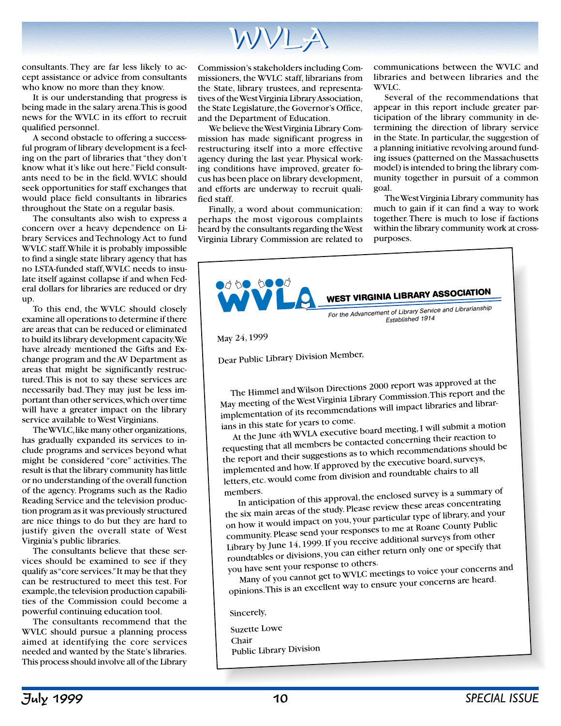

consultants. They are far less likely to accept assistance or advice from consultants who know no more than they know.

It is our understanding that progress is being made in the salary arena. This is good news for the WVLC in its effort to recruit qualified personnel.

A second obstacle to offering a successful program of library development is a feeling on the part of libraries that "they don't know what it's like out here." Field consultants need to be in the field. WVLC should seek opportunities for staff exchanges that would place field consultants in libraries throughout the State on a regular basis.

The consultants also wish to express a concern over a heavy dependence on Library Services and Technology Act to fund WVLC staff. While it is probably impossible to find a single state library agency that has no LSTA-funded staff, WVLC needs to insulate itself against collapse if and when Federal dollars for libraries are reduced or dry up.

To this end, the WVLC should closely examine all operations to determine if there are areas that can be reduced or eliminated to build its library development capacity. We have already mentioned the Gifts and Exchange program and the AV Department as areas that might be significantly restructured. This is not to say these services are necessarily bad. They may just be less important than other services, which over time will have a greater impact on the library service available to West Virginians.

The WVLC, like many other organizations, has gradually expanded its services to include programs and services beyond what might be considered "core" activities. The result is that the library community has little or no understanding of the overall function of the agency. Programs such as the Radio Reading Service and the television production program as it was previously structured are nice things to do but they are hard to justify given the overall state of West Virginia's public libraries.

The consultants believe that these services should be examined to see if they qualify as "core services." It may be that they can be restructured to meet this test. For example, the television production capabilities of the Commission could become a powerful continuing education tool.

The consultants recommend that the WVLC should pursue a planning process aimed at identifying the core services needed and wanted by the State's libraries. This process should involve all of the Library

Commission's stakeholders including Commissioners, the WVLC staff, librarians from the State, library trustees, and representatives of the West Virginia Library Association, the State Legislature, the Governor's Office, and the Department of Education.

We believe the West Virginia Library Commission has made significant progress in restructuring itself into a more effective agency during the last year. Physical working conditions have improved, greater focus has been place on library development, and efforts are underway to recruit qualified staff.

Finally, a word about communication: perhaps the most vigorous complaints heard by the consultants regarding the West Virginia Library Commission are related to

communications between the WVLC and libraries and between libraries and the WVLC.

Several of the recommendations that appear in this report include greater participation of the library community in determining the direction of library service in the State. In particular, the suggestion of a planning initiative revolving around funding issues (patterned on the Massachusetts model) is intended to bring the library community together in pursuit of a common goal.

The West Virginia Library community has much to gain if it can find a way to work together. There is much to lose if factions within the library community work at crosspurposes.



May 24, 1999

Dear Public Library Division Member,

The Himmel and Wilson Directions 2000 report was approved at the May meeting of the West Virginia Library Commission. This report and the implementation of its recommendations will impact libraries and librarians in this state for years to come.

At the June 4th WVLA executive board meeting, I will submit a motion requesting that all members be contacted concerning their reaction to the report and their suggestions as to which recommendations should be implemented and how. If approved by the executive board, surveys, letters, etc. would come from division and roundtable chairs to all members.

 In anticipation of this approval, the enclosed survey is a summary o<sup>f</sup> the six main areas of the study. Please review these areas concentrating on how it would impact on you, your particular type of library, and your community. Please send your responses to me at Roane County Public Library by June 14, 1999. If you receive additional surveys from other roundtables or divisions, you can either return only one or specify that you have sent your response to others.

Many of you cannot get to WVLC meetings to voice your concerns an<sup>d</sup> opinions. This is an excellent way to ensure your concerns are heard.

Sincerely,

Suzette Lowe Chair Public Library Division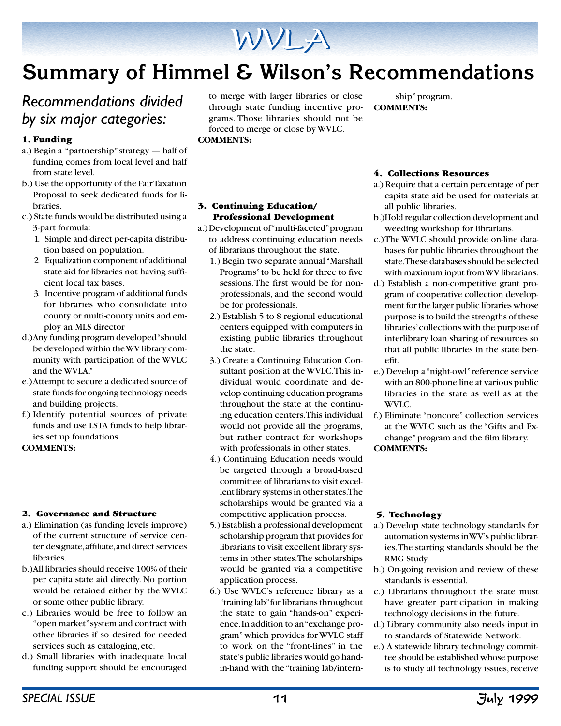

## **Summary of Himmel & Wilson's Recommendations**

## *Recommendations divided by six major categories:*

#### **1. Funding**

- a.) Begin a "partnership" strategy half of funding comes from local level and half from state level.
- b.) Use the opportunity of the Fair Taxation Proposal to seek dedicated funds for libraries.
- c.) State funds would be distributed using a 3-part formula:
	- 1. Simple and direct per-capita distribution based on population.
	- 2. Equalization component of additional state aid for libraries not having sufficient local tax bases.
	- 3. Incentive program of additional funds for libraries who consolidate into county or multi-county units and employ an MLS director
- d.)Any funding program developed "should be developed within the WV library community with participation of the WVLC and the WVLA."
- e.)Attempt to secure a dedicated source of state funds for ongoing technology needs and building projects.
- f.) Identify potential sources of private funds and use LSTA funds to help libraries set up foundations.

#### **COMMENTS:**

#### **2. Governance and Structure**

- a.) Elimination (as funding levels improve) of the current structure of service center, designate, affiliate, and direct services libraries.
- b.)All libraries should receive 100% of their per capita state aid directly. No portion would be retained either by the WVLC or some other public library.
- c.) Libraries would be free to follow an "open market" system and contract with other libraries if so desired for needed services such as cataloging, etc.
- d.) Small libraries with inadequate local funding support should be encouraged

to merge with larger libraries or close through state funding incentive programs. Those libraries should not be forced to merge or close by WVLC. **COMMENTS:**

ship" program. **COMMENTS:**

#### **3. Continuing Education/ Professional Development**

- a.) Development of "multi-faceted" program to address continuing education needs of librarians throughout the state.
	- 1.) Begin two separate annual "Marshall Programs" to be held for three to five sessions. The first would be for nonprofessionals, and the second would be for professionals.
	- 2.) Establish 5 to 8 regional educational centers equipped with computers in existing public libraries throughout the state.
	- 3.) Create a Continuing Education Consultant position at the WVLC. This individual would coordinate and develop continuing education programs throughout the state at the continuing education centers. This individual would not provide all the programs, but rather contract for workshops with professionals in other states.
	- 4.) Continuing Education needs would be targeted through a broad-based committee of librarians to visit excellent library systems in other states. The scholarships would be granted via a competitive application process.
	- 5.) Establish a professional development scholarship program that provides for librarians to visit excellent library systems in other states. The scholarships would be granted via a competitive application process.
	- 6.) Use WVLC's reference library as a "training lab" for librarians throughout the state to gain "hands-on" experience. In addition to an "exchange program" which provides for WVLC staff to work on the "front-lines" in the state's public libraries would go handin-hand with the "training lab/intern-

#### **4. Collections Resources**

- a.) Require that a certain percentage of per capita state aid be used for materials at all public libraries.
- b.)Hold regular collection development and weeding workshop for librarians.
- c.)The WVLC should provide on-line databases for public libraries throughout the state. These databases should be selected with maximum input from WV librarians.
- d.) Establish a non-competitive grant program of cooperative collection development for the larger public libraries whose purpose is to build the strengths of these libraries' collections with the purpose of interlibrary loan sharing of resources so that all public libraries in the state benefit.
- e.) Develop a "night-owl" reference service with an 800-phone line at various public libraries in the state as well as at the WVLC.
- f.) Eliminate "noncore" collection services at the WVLC such as the "Gifts and Exchange" program and the film library.

#### **COMMENTS:**

#### **5. Technology**

- a.) Develop state technology standards for automation systems in WV's public libraries. The starting standards should be the RMG Study.
- b.) On-going revision and review of these standards is essential.
- c.) Librarians throughout the state must have greater participation in making technology decisions in the future.
- d.) Library community also needs input in to standards of Statewide Network.
- e.) A statewide library technology committee should be established whose purpose is to study all technology issues, receive